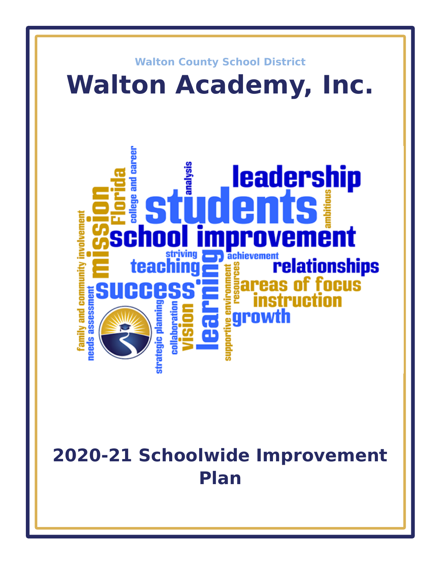

# **2020-21 Schoolwide Improvement Plan**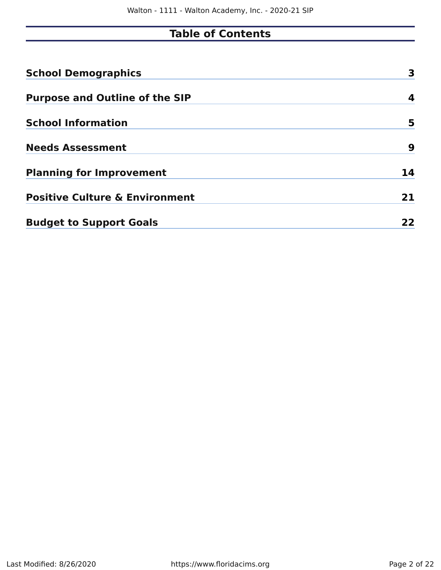### **Table of Contents**

| <b>School Demographics</b>                | 3  |
|-------------------------------------------|----|
| <b>Purpose and Outline of the SIP</b>     | 4  |
| <b>School Information</b>                 | 5  |
| <b>Needs Assessment</b>                   | 9  |
| <b>Planning for Improvement</b>           | 14 |
| <b>Positive Culture &amp; Environment</b> | 21 |
| <b>Budget to Support Goals</b>            | 22 |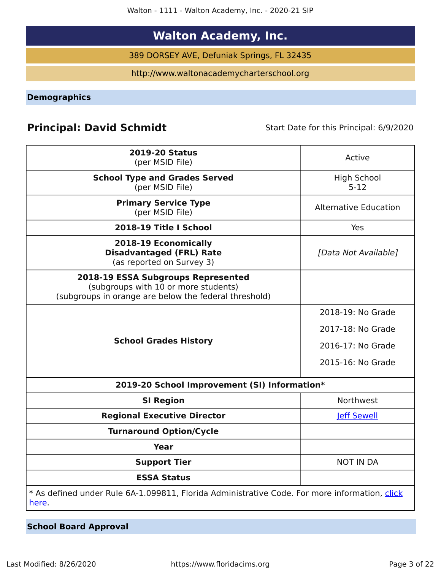Walton - 1111 - Walton Academy, Inc. - 2020-21 SIP

### **Walton Academy, Inc.**

389 DORSEY AVE, Defuniak Springs, FL 32435

http://www.waltonacademycharterschool.org

<span id="page-2-0"></span>**Demographics**

### **Principal: David Schmidt** Start Date for this Principal: 6/9/2020

| <b>2019-20 Status</b><br>(per MSID File)                                                                                            | Active                         |
|-------------------------------------------------------------------------------------------------------------------------------------|--------------------------------|
| <b>School Type and Grades Served</b><br>(per MSID File)                                                                             | <b>High School</b><br>$5 - 12$ |
| <b>Primary Service Type</b><br>(per MSID File)                                                                                      | <b>Alternative Education</b>   |
| 2018-19 Title I School                                                                                                              | Yes                            |
| 2018-19 Economically<br><b>Disadvantaged (FRL) Rate</b><br>(as reported on Survey 3)                                                | [Data Not Available]           |
| 2018-19 ESSA Subgroups Represented<br>(subgroups with 10 or more students)<br>(subgroups in orange are below the federal threshold) |                                |
|                                                                                                                                     | 2018-19: No Grade              |
|                                                                                                                                     | 2017-18: No Grade              |
| <b>School Grades History</b>                                                                                                        | 2016-17: No Grade              |
|                                                                                                                                     | 2015-16: No Grade              |
| 2019-20 School Improvement (SI) Information*                                                                                        |                                |
| <b>SI Region</b>                                                                                                                    | Northwest                      |
| <b>Regional Executive Director</b>                                                                                                  | <b>Jeff Sewell</b>             |
| <b>Turnaround Option/Cycle</b>                                                                                                      |                                |
| <b>Year</b>                                                                                                                         |                                |
| <b>Support Tier</b>                                                                                                                 | <b>NOT IN DA</b>               |
| <b>ESSA Status</b>                                                                                                                  |                                |
| * As defined under Rule 6A-1.099811, Florida Administrative Code. For more information, click<br>here.                              |                                |

**School Board Approval**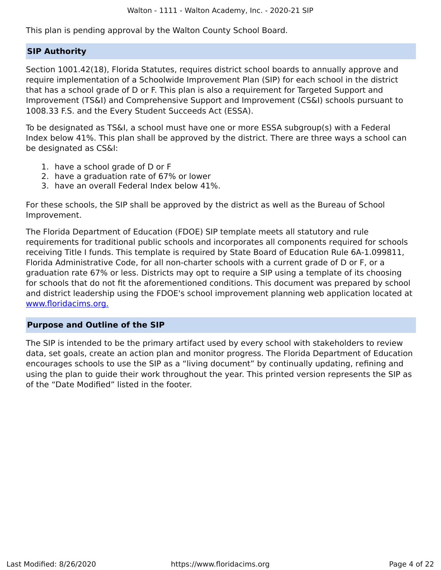This plan is pending approval by the Walton County School Board.

### **SIP Authority**

Section 1001.42(18), Florida Statutes, requires district school boards to annually approve and require implementation of a Schoolwide Improvement Plan (SIP) for each school in the district that has a school grade of D or F. This plan is also a requirement for Targeted Support and Improvement (TS&I) and Comprehensive Support and Improvement (CS&I) schools pursuant to 1008.33 F.S. and the Every Student Succeeds Act (ESSA).

To be designated as TS&I, a school must have one or more ESSA subgroup(s) with a Federal Index below 41%. This plan shall be approved by the district. There are three ways a school can be designated as CS&I:

- 1. have a school grade of D or F
- 2. have a graduation rate of 67% or lower
- 3. have an overall Federal Index below 41%.

For these schools, the SIP shall be approved by the district as well as the Bureau of School Improvement.

The Florida Department of Education (FDOE) SIP template meets all statutory and rule requirements for traditional public schools and incorporates all components required for schools receiving Title I funds. This template is required by State Board of Education Rule 6A-1.099811, Florida Administrative Code, for all non-charter schools with a current grade of D or F, or a graduation rate 67% or less. Districts may opt to require a SIP using a template of its choosing for schools that do not fit the aforementioned conditions. This document was prepared by school and district leadership using the FDOE's school improvement planning web application located at [www.floridacims.org.](https://www.floridacims.org)

### <span id="page-3-0"></span>**Purpose and Outline of the SIP**

The SIP is intended to be the primary artifact used by every school with stakeholders to review data, set goals, create an action plan and monitor progress. The Florida Department of Education encourages schools to use the SIP as a "living document" by continually updating, refining and using the plan to guide their work throughout the year. This printed version represents the SIP as of the "Date Modified" listed in the footer.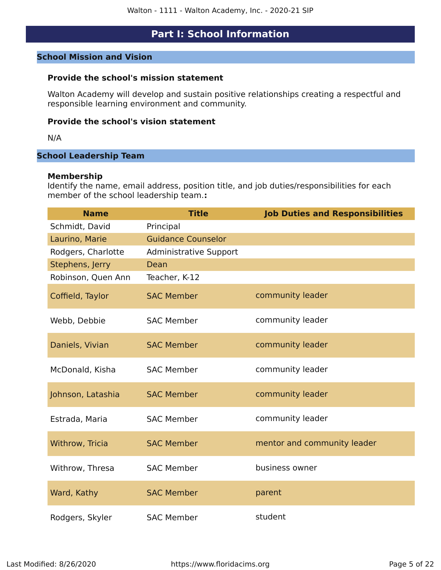### **Part I: School Information**

### <span id="page-4-0"></span>**School Mission and Vision**

### **Provide the school's mission statement**

Walton Academy will develop and sustain positive relationships creating a respectful and responsible learning environment and community.

### **Provide the school's vision statement**

N/A

### **School Leadership Team**

### **Membership**

Identify the name, email address, position title, and job duties/responsibilities for each member of the school leadership team.**:**

| <b>Name</b>        | <b>Title</b>                  | <b>Job Duties and Responsibilities</b> |
|--------------------|-------------------------------|----------------------------------------|
| Schmidt, David     | Principal                     |                                        |
| Laurino, Marie     | <b>Guidance Counselor</b>     |                                        |
| Rodgers, Charlotte | <b>Administrative Support</b> |                                        |
| Stephens, Jerry    | Dean                          |                                        |
| Robinson, Quen Ann | Teacher, K-12                 |                                        |
| Coffield, Taylor   | <b>SAC Member</b>             | community leader                       |
| Webb, Debbie       | <b>SAC Member</b>             | community leader                       |
| Daniels, Vivian    | <b>SAC Member</b>             | community leader                       |
| McDonald, Kisha    | <b>SAC Member</b>             | community leader                       |
| Johnson, Latashia  | <b>SAC Member</b>             | community leader                       |
| Estrada, Maria     | <b>SAC Member</b>             | community leader                       |
| Withrow, Tricia    | <b>SAC Member</b>             | mentor and community leader            |
| Withrow, Thresa    | <b>SAC Member</b>             | business owner                         |
| Ward, Kathy        | <b>SAC Member</b>             | parent                                 |
| Rodgers, Skyler    | <b>SAC Member</b>             | student                                |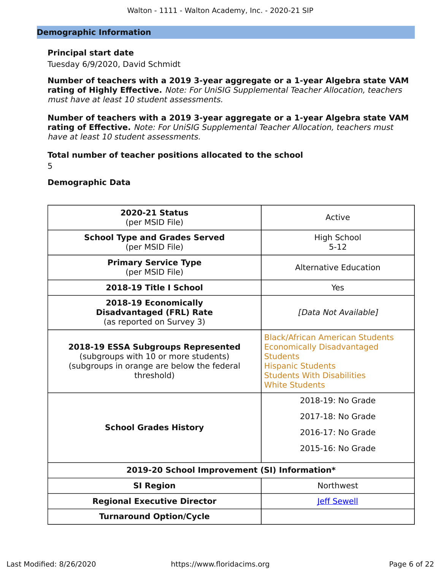### **Demographic Information**

### **Principal start date**

Tuesday 6/9/2020, David Schmidt

**Number of teachers with a 2019 3-year aggregate or a 1-year Algebra state VAM rating of Highly Effective.** Note: For UniSIG Supplemental Teacher Allocation, teachers must have at least 10 student assessments.

**Number of teachers with a 2019 3-year aggregate or a 1-year Algebra state VAM rating of Effective.** Note: For UniSIG Supplemental Teacher Allocation, teachers must have at least 10 student assessments.

### **Total number of teacher positions allocated to the school** 5

### **Demographic Data**

| <b>2020-21 Status</b><br>(per MSID File)                                                                                                      | Active                                                                                                                                                                                   |
|-----------------------------------------------------------------------------------------------------------------------------------------------|------------------------------------------------------------------------------------------------------------------------------------------------------------------------------------------|
| <b>School Type and Grades Served</b><br>(per MSID File)                                                                                       | <b>High School</b><br>$5 - 12$                                                                                                                                                           |
| <b>Primary Service Type</b><br>(per MSID File)                                                                                                | <b>Alternative Education</b>                                                                                                                                                             |
| 2018-19 Title I School                                                                                                                        | Yes                                                                                                                                                                                      |
| 2018-19 Economically<br><b>Disadvantaged (FRL) Rate</b><br>(as reported on Survey 3)                                                          | [Data Not Available]                                                                                                                                                                     |
| <b>2018-19 ESSA Subgroups Represented</b><br>(subgroups with 10 or more students)<br>(subgroups in orange are below the federal<br>threshold) | <b>Black/African American Students</b><br><b>Economically Disadvantaged</b><br><b>Students</b><br><b>Hispanic Students</b><br><b>Students With Disabilities</b><br><b>White Students</b> |
| <b>School Grades History</b>                                                                                                                  | 2018-19: No Grade<br>2017-18: No Grade<br>2016-17: No Grade<br>2015-16: No Grade                                                                                                         |
| 2019-20 School Improvement (SI) Information*                                                                                                  |                                                                                                                                                                                          |
| <b>SI Region</b>                                                                                                                              | Northwest                                                                                                                                                                                |
| <b>Regional Executive Director</b>                                                                                                            | <b>leff Sewell</b>                                                                                                                                                                       |
| <b>Turnaround Option/Cycle</b>                                                                                                                |                                                                                                                                                                                          |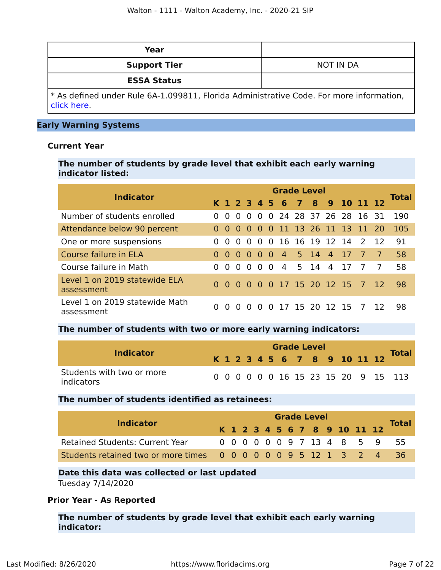| Year                                                                                                  |           |
|-------------------------------------------------------------------------------------------------------|-----------|
| <b>Support Tier</b>                                                                                   | NOT IN DA |
| <b>ESSA Status</b>                                                                                    |           |
| * As defined under Rule 6A-1.099811, Florida Administrative Code. For more information,<br>click here |           |

### **Early Warning Systems**

### **Current Year**

**The number of students by grade level that exhibit each early warning indicator listed:**

| <b>Indicator</b>                             | <b>Grade Level</b> |           |          |                |          |     |                            |  |  |             |                               |                |                |              |
|----------------------------------------------|--------------------|-----------|----------|----------------|----------|-----|----------------------------|--|--|-------------|-------------------------------|----------------|----------------|--------------|
|                                              |                    |           |          |                |          |     |                            |  |  |             | K 1 2 3 4 5 6 7 8 9 10 11 12  |                |                | <b>Total</b> |
| Number of students enrolled                  |                    | $\Omega$  |          |                |          |     |                            |  |  |             | 0 0 0 0 24 28 37 26 28 16 31  |                |                | 190          |
| Attendance below 90 percent                  |                    |           |          |                |          |     | 0 0 0 0 0 0 11 13 26 11 13 |  |  |             |                               | 11 20          |                | 105          |
| One or more suspensions                      | $\Omega$           | $\Omega$  | $\Omega$ | $\overline{0}$ | $\Omega$ |     |                            |  |  |             | 0 16 16 19 12 14              | $\mathcal{L}$  | $-12$          | 91           |
| Course failure in ELA                        | $\Omega$           | $0\,0\,0$ |          |                |          |     | 0 0 4 5 14 4 17            |  |  |             |                               | $\overline{7}$ | $\overline{7}$ | 58           |
| Course failure in Math                       | $\Omega$           | $\Omega$  | $\Omega$ | $\overline{0}$ | $\Omega$ | - 0 |                            |  |  | 4 5 14 4 17 |                               | $\overline{7}$ | 7              | 58           |
| Level 1 on 2019 statewide ELA<br>assessment  | $\Omega$           |           |          |                |          |     |                            |  |  |             | 0 0 0 0 0 17 15 20 12 15 7 12 |                |                | 98           |
| Level 1 on 2019 statewide Math<br>assessment |                    | $\Omega$  | $\Omega$ | - 0            |          |     | 0 0 17 15 20 12 15         |  |  |             |                               | $\overline{7}$ | -12            | 98           |

### **The number of students with two or more early warning indicators:**

| <b>Indicator</b>                        |  |  |  |  | <b>Grade Level</b> |                              |  |                                     |
|-----------------------------------------|--|--|--|--|--------------------|------------------------------|--|-------------------------------------|
|                                         |  |  |  |  |                    | K 1 2 3 4 5 6 7 8 9 10 11 12 |  | <b>Total</b>                        |
| Students with two or more<br>indicators |  |  |  |  |                    |                              |  | 0 0 0 0 0 0 16 15 23 15 20 9 15 113 |

### **The number of students identified as retainees:**

| <b>Indicator</b>                                               |  |  |  |  | <b>Grade Level</b> |  |                              |  |                            |              |  |  |  |  |  |  |  |  |
|----------------------------------------------------------------|--|--|--|--|--------------------|--|------------------------------|--|----------------------------|--------------|--|--|--|--|--|--|--|--|
|                                                                |  |  |  |  |                    |  | K 1 2 3 4 5 6 7 8 9 10 11 12 |  |                            | <b>Total</b> |  |  |  |  |  |  |  |  |
| <b>Retained Students: Current Year</b>                         |  |  |  |  |                    |  |                              |  | 0 0 0 0 0 0 9 7 13 4 8 5 9 | - 55         |  |  |  |  |  |  |  |  |
| Students retained two or more times 0 0 0 0 0 0 9 5 12 1 3 2 4 |  |  |  |  |                    |  |                              |  |                            | 36           |  |  |  |  |  |  |  |  |

### **Date this data was collected or last updated**

Tuesday 7/14/2020

### **Prior Year - As Reported**

**The number of students by grade level that exhibit each early warning indicator:**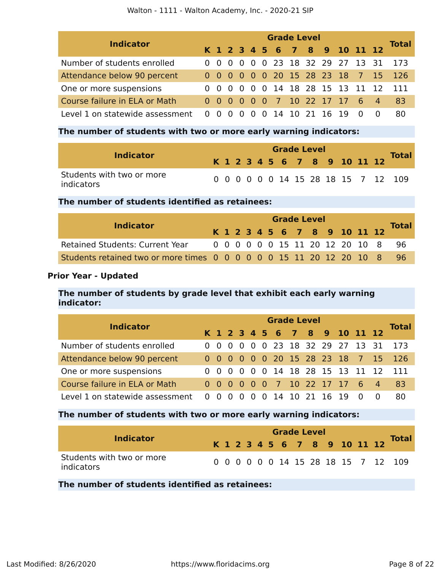| <b>Indicator</b>                |  | <b>Grade Level</b> |                          |  |  |  |  |  |  |                    |                                  |     |                                  |              |  |  |
|---------------------------------|--|--------------------|--------------------------|--|--|--|--|--|--|--------------------|----------------------------------|-----|----------------------------------|--------------|--|--|
|                                 |  |                    |                          |  |  |  |  |  |  |                    | K 1 2 3 4 5 6 7 8 9 10 11 12     |     |                                  | <b>Total</b> |  |  |
| Number of students enrolled     |  |                    |                          |  |  |  |  |  |  |                    |                                  |     | 0 0 0 0 0 0 23 18 32 29 27 13 31 | -173         |  |  |
| Attendance below 90 percent     |  |                    |                          |  |  |  |  |  |  |                    |                                  |     | 0 0 0 0 0 0 20 15 28 23 18 7 15  | - 126        |  |  |
| One or more suspensions         |  |                    |                          |  |  |  |  |  |  |                    | 0 0 0 0 0 0 14 18 28 15 13 11 12 |     |                                  | -111         |  |  |
| Course failure in ELA or Math   |  |                    |                          |  |  |  |  |  |  |                    | 0 0 0 0 0 0 7 10 22 17 17 6 4    |     |                                  | 83           |  |  |
| Level 1 on statewide assessment |  |                    | $0\quad 0\quad 0\quad 0$ |  |  |  |  |  |  | 0 0 14 10 21 16 19 |                                  | - 0 |                                  | 80           |  |  |

### **The number of students with two or more early warning indicators:**

| <b>Indicator</b>                        |  |  |  | <b>Grade Level</b> |  |                              |  | <b>Total</b>                        |
|-----------------------------------------|--|--|--|--------------------|--|------------------------------|--|-------------------------------------|
|                                         |  |  |  |                    |  | K 1 2 3 4 5 6 7 8 9 10 11 12 |  |                                     |
| Students with two or more<br>indicators |  |  |  |                    |  |                              |  | 0 0 0 0 0 0 14 15 28 18 15 7 12 109 |

### **The number of students identified as retainees:**

| <b>Indicator</b>                                                    |  | <b>Grade Level</b> |  |  |  |  |  |  |  |  |  |  |                                 |       |  |
|---------------------------------------------------------------------|--|--------------------|--|--|--|--|--|--|--|--|--|--|---------------------------------|-------|--|
|                                                                     |  |                    |  |  |  |  |  |  |  |  |  |  | K 1 2 3 4 5 6 7 8 9 10 11 12    | Total |  |
| <b>Retained Students: Current Year</b>                              |  |                    |  |  |  |  |  |  |  |  |  |  | 0 0 0 0 0 0 15 11 20 12 20 10 8 | - 96  |  |
| Students retained two or more times 0 0 0 0 0 0 15 11 20 12 20 10 8 |  |                    |  |  |  |  |  |  |  |  |  |  |                                 | -96   |  |

### **Prior Year - Updated**

### **The number of students by grade level that exhibit each early warning indicator:**

| <b>Indicator</b>                |  |                          |  |  | <b>Grade Level</b> |                    |                                  | <b>Total</b>                        |
|---------------------------------|--|--------------------------|--|--|--------------------|--------------------|----------------------------------|-------------------------------------|
|                                 |  |                          |  |  |                    |                    | K 1 2 3 4 5 6 7 8 9 10 11 12     |                                     |
| Number of students enrolled     |  |                          |  |  |                    |                    | 0 0 0 0 0 0 23 18 32 29 27 13 31 | 173                                 |
| Attendance below 90 percent     |  |                          |  |  |                    |                    |                                  | 0 0 0 0 0 0 20 15 28 23 18 7 15 126 |
| One or more suspensions         |  |                          |  |  |                    |                    | 0 0 0 0 0 0 14 18 28 15 13 11 12 |                                     |
| Course failure in ELA or Math   |  |                          |  |  |                    |                    | 0 0 0 0 0 0 7 10 22 17 17 6 4    | 83                                  |
| Level 1 on statewide assessment |  | $0\quad 0\quad 0\quad 0$ |  |  |                    | 0 0 14 10 21 16 19 | . വ                              | 80                                  |

### **The number of students with two or more early warning indicators:**

|                                                | <b>Grade Level</b> |  |  |  |  |  |  |  |  |                              |  |                                     |
|------------------------------------------------|--------------------|--|--|--|--|--|--|--|--|------------------------------|--|-------------------------------------|
| Indicator                                      |                    |  |  |  |  |  |  |  |  | K 1 2 3 4 5 6 7 8 9 10 11 12 |  | <b>Total</b>                        |
| Students with two or more<br><i>indicators</i> |                    |  |  |  |  |  |  |  |  |                              |  | 0 0 0 0 0 0 14 15 28 18 15 7 12 109 |

**The number of students identified as retainees:**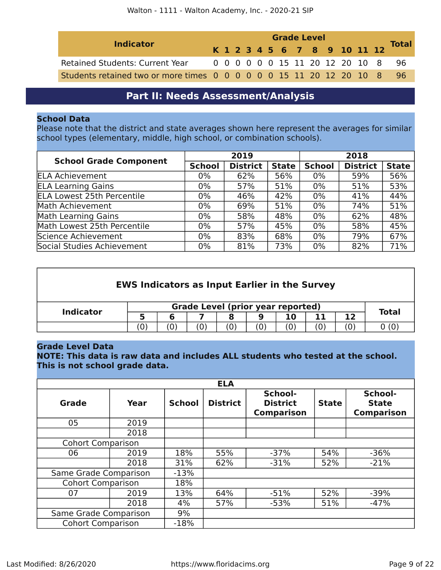| <b>Indicator</b>                                                    |  | <b>Grade Level</b> |  |  |  |  |  |  |  |  |                                 |  |                              |              |
|---------------------------------------------------------------------|--|--------------------|--|--|--|--|--|--|--|--|---------------------------------|--|------------------------------|--------------|
|                                                                     |  |                    |  |  |  |  |  |  |  |  |                                 |  | K 1 2 3 4 5 6 7 8 9 10 11 12 | <b>Total</b> |
| <b>Retained Students: Current Year</b>                              |  |                    |  |  |  |  |  |  |  |  | 0 0 0 0 0 0 15 11 20 12 20 10 8 |  |                              | -96          |
| Students retained two or more times 0 0 0 0 0 0 15 11 20 12 20 10 8 |  |                    |  |  |  |  |  |  |  |  |                                 |  |                              | -96.         |

## **Part II: Needs Assessment/Analysis**

### <span id="page-8-0"></span>**School Data**

Please note that the district and state averages shown here represent the averages for similar school types (elementary, middle, high school, or combination schools).

| <b>School Grade Component</b>     |               | 2019            |              |               | 2018            |              |
|-----------------------------------|---------------|-----------------|--------------|---------------|-----------------|--------------|
|                                   | <b>School</b> | <b>District</b> | <b>State</b> | <b>School</b> | <b>District</b> | <b>State</b> |
| <b>ELA Achievement</b>            | $0\%$         | 62%             | 56%          | $0\%$         | 59%             | 56%          |
| <b>ELA Learning Gains</b>         | $0\%$         | 57%             | 51%          | $0\%$         | 51%             | 53%          |
| <b>ELA Lowest 25th Percentile</b> | $0\%$         | 46%             | 42%          | 0%            | 41%             | 44%          |
| Math Achievement                  | $0\%$         | 69%             | 51%          | $0\%$         | 74%             | 51%          |
| Math Learning Gains               | $0\%$         | 58%             | 48%          | 0%            | 62%             | 48%          |
| Math Lowest 25th Percentile       | $0\%$         | 57%             | 45%          | 0%            | 58%             | 45%          |
| Science Achievement               | $0\%$         | 83%             | 68%          | $0\%$         | 79%             | 67%          |
| Social Studies Achievement        | $0\%$         | 81%             | 73%          | 0%            | 82%             | 71%          |

| <b>EWS Indicators as Input Earlier in the Survey</b> |     |              |                    |     |     |     |     |     |       |  |
|------------------------------------------------------|-----|--------------|--------------------|-----|-----|-----|-----|-----|-------|--|
| <b>Indicator</b>                                     |     | <b>Total</b> |                    |     |     |     |     |     |       |  |
|                                                      |     | 6            |                    | 8   | 9   | 10  | 11  | 12  |       |  |
|                                                      | (0) | $\omega$     | $\left( 0 \right)$ | (0) | (0) | (0) | (0) | (0) | 0 (0) |  |
|                                                      |     |              |                    |     |     |     |     |     |       |  |

### **Grade Level Data**

**NOTE: This data is raw data and includes ALL students who tested at the school. This is not school grade data.**

|                          |      |               | <b>ELA</b>      |                                                 |              |                                              |
|--------------------------|------|---------------|-----------------|-------------------------------------------------|--------------|----------------------------------------------|
| <b>Grade</b>             | Year | <b>School</b> | <b>District</b> | School-<br><b>District</b><br><b>Comparison</b> | <b>State</b> | School-<br><b>State</b><br><b>Comparison</b> |
| 05                       | 2019 |               |                 |                                                 |              |                                              |
|                          | 2018 |               |                 |                                                 |              |                                              |
| <b>Cohort Comparison</b> |      |               |                 |                                                 |              |                                              |
| 06                       | 2019 | 18%           | 55%             | $-37%$                                          | 54%          | $-36%$                                       |
|                          | 2018 | 31%           | 62%             | $-31%$                                          | 52%          | $-21%$                                       |
| Same Grade Comparison    |      | $-13%$        |                 |                                                 |              |                                              |
| <b>Cohort Comparison</b> |      | 18%           |                 |                                                 |              |                                              |
| 07                       | 2019 | 13%           | 64%             | $-51%$                                          | 52%          | $-39%$                                       |
|                          | 2018 | 4%            | 57%             | $-53%$                                          | 51%          | $-47%$                                       |
| Same Grade Comparison    |      | 9%            |                 |                                                 |              |                                              |
| <b>Cohort Comparison</b> |      | $-18%$        |                 |                                                 |              |                                              |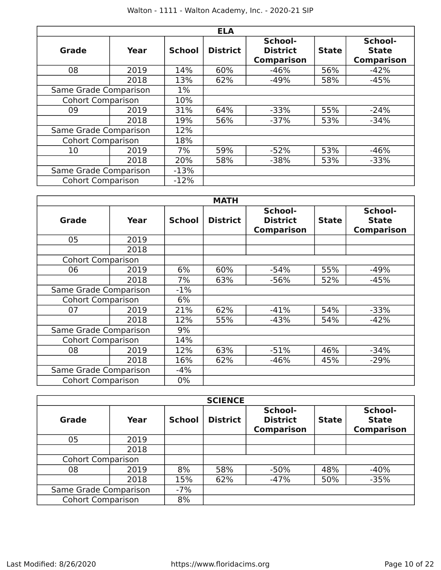|                          |      |               | <b>ELA</b>      |                                                 |              |                                              |
|--------------------------|------|---------------|-----------------|-------------------------------------------------|--------------|----------------------------------------------|
| Grade                    | Year | <b>School</b> | <b>District</b> | School-<br><b>District</b><br><b>Comparison</b> | <b>State</b> | School-<br><b>State</b><br><b>Comparison</b> |
| 08                       | 2019 | 14%           | 60%             | $-46%$                                          | 56%          | $-42%$                                       |
|                          | 2018 | 13%           | 62%             | $-49%$                                          | 58%          | $-45%$                                       |
| Same Grade Comparison    |      | $1\%$         |                 |                                                 |              |                                              |
| <b>Cohort Comparison</b> |      | 10%           |                 |                                                 |              |                                              |
| 09                       | 2019 | 31%           | 64%             | $-33%$                                          | 55%          | $-24%$                                       |
|                          | 2018 | 19%           | 56%             | $-37%$                                          | 53%          | $-34%$                                       |
| Same Grade Comparison    |      | 12%           |                 |                                                 |              |                                              |
| <b>Cohort Comparison</b> |      | 18%           |                 |                                                 |              |                                              |
| 10                       | 2019 | 7%            | 59%             | $-52%$                                          | 53%          | $-46%$                                       |
|                          | 2018 | 20%           | 58%             | $-38%$                                          | 53%          | $-33%$                                       |
| Same Grade Comparison    |      | $-13%$        |                 |                                                 |              |                                              |
| <b>Cohort Comparison</b> |      | $-12%$        |                 |                                                 |              |                                              |

|                          |      |               | <b>MATH</b>     |                                                 |              |                                              |
|--------------------------|------|---------------|-----------------|-------------------------------------------------|--------------|----------------------------------------------|
| Grade                    | Year | <b>School</b> | <b>District</b> | School-<br><b>District</b><br><b>Comparison</b> | <b>State</b> | School-<br><b>State</b><br><b>Comparison</b> |
| 05                       | 2019 |               |                 |                                                 |              |                                              |
|                          | 2018 |               |                 |                                                 |              |                                              |
| <b>Cohort Comparison</b> |      |               |                 |                                                 |              |                                              |
| 06                       | 2019 | 6%            | 60%             | $-54%$                                          | 55%          | $-49%$                                       |
|                          | 2018 | 7%            | 63%             | $-56%$                                          | 52%          | $-45%$                                       |
| Same Grade Comparison    |      | $-1\%$        |                 |                                                 |              |                                              |
| <b>Cohort Comparison</b> |      | 6%            |                 |                                                 |              |                                              |
| 07                       | 2019 | 21%           | 62%             | $-41%$                                          | 54%          | $-33%$                                       |
|                          | 2018 | 12%           | 55%             | $-43%$                                          | 54%          | $-42%$                                       |
| Same Grade Comparison    |      | 9%            |                 |                                                 |              |                                              |
| <b>Cohort Comparison</b> |      | 14%           |                 |                                                 |              |                                              |
| 08                       | 2019 | 12%           | 63%             | $-51%$                                          | 46%          | $-34%$                                       |
|                          | 2018 | 16%           | 62%             | $-46%$                                          | 45%          | $-29%$                                       |
| Same Grade Comparison    |      | $-4%$         |                 |                                                 |              |                                              |
| <b>Cohort Comparison</b> |      | $0\%$         |                 |                                                 |              |                                              |

|                          |      |               | <b>SCIENCE</b>  |                                                 |              |                                              |
|--------------------------|------|---------------|-----------------|-------------------------------------------------|--------------|----------------------------------------------|
| Grade                    | Year | <b>School</b> | <b>District</b> | School-<br><b>District</b><br><b>Comparison</b> | <b>State</b> | School-<br><b>State</b><br><b>Comparison</b> |
| 05                       | 2019 |               |                 |                                                 |              |                                              |
|                          | 2018 |               |                 |                                                 |              |                                              |
| <b>Cohort Comparison</b> |      |               |                 |                                                 |              |                                              |
| 08                       | 2019 | 8%            | 58%             | $-50%$                                          | 48%          | $-40%$                                       |
|                          | 2018 | 15%           | 62%             | $-47%$                                          | 50%          | $-35%$                                       |
| Same Grade Comparison    |      | $-7%$         |                 |                                                 |              |                                              |
| <b>Cohort Comparison</b> |      | 8%            |                 |                                                 |              |                                              |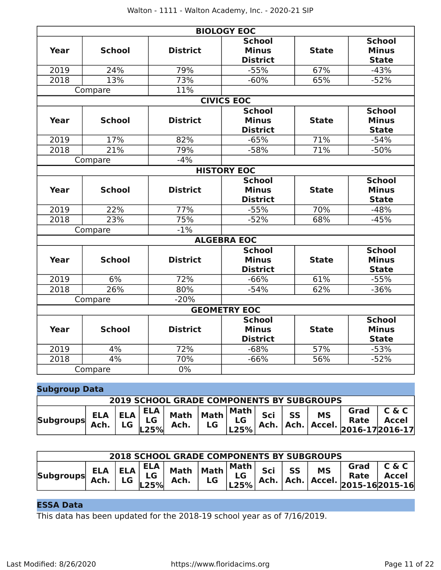|             |               |                 | <b>BIOLOGY EOC</b>                               |              |                                               |
|-------------|---------------|-----------------|--------------------------------------------------|--------------|-----------------------------------------------|
| <b>Year</b> | <b>School</b> | <b>District</b> | <b>School</b><br><b>Minus</b><br><b>District</b> | <b>State</b> | <b>School</b><br><b>Minus</b><br><b>State</b> |
| 2019        | 24%           | 79%             | $-55%$                                           | 67%          | $-43%$                                        |
| 2018        | 13%           | 73%             | $-60%$                                           | 65%          | $-52%$                                        |
|             | Compare       | 11%             |                                                  |              |                                               |
|             |               |                 | <b>CIVICS EOC</b>                                |              |                                               |
|             |               |                 | <b>School</b>                                    |              | <b>School</b>                                 |
| Year        | <b>School</b> | <b>District</b> | <b>Minus</b>                                     | <b>State</b> | <b>Minus</b>                                  |
|             |               |                 | <b>District</b>                                  |              | <b>State</b>                                  |
| 2019        | 17%           | 82%             | $-65%$                                           | 71%          | $-54%$                                        |
| 2018        | 21%           | 79%             | $-58%$                                           | 71%          | $-50%$                                        |
|             | Compare       | $-4%$           |                                                  |              |                                               |
|             |               |                 | <b>HISTORY EOC</b>                               |              |                                               |
| <b>Year</b> | <b>School</b> | <b>District</b> | <b>School</b><br><b>Minus</b>                    | <b>State</b> | <b>School</b><br><b>Minus</b>                 |
|             |               |                 | <b>District</b>                                  |              | <b>State</b>                                  |
| 2019        | 22%           | 77%             | $-55%$                                           | 70%          | $-48%$                                        |
| 2018        | 23%           | 75%             | $-52%$                                           | 68%          | $-45%$                                        |
|             | Compare       | $-1%$           |                                                  |              |                                               |
|             |               |                 | <b>ALGEBRA EOC</b>                               |              |                                               |
| Year        | <b>School</b> | <b>District</b> | <b>School</b><br><b>Minus</b><br><b>District</b> | <b>State</b> | <b>School</b><br><b>Minus</b><br><b>State</b> |
| 2019        | 6%            | 72%             | $-66%$                                           | 61%          | $-55%$                                        |
| 2018        | 26%           | 80%             | $-54%$                                           | 62%          | $-36%$                                        |
|             | Compare       | $-20%$          |                                                  |              |                                               |
|             |               |                 | <b>GEOMETRY EOC</b>                              |              |                                               |
| <b>Year</b> | <b>School</b> | <b>District</b> | <b>School</b><br><b>Minus</b><br><b>District</b> | <b>State</b> | <b>School</b><br><b>Minus</b><br><b>State</b> |
| 2019        | 4%            | 72%             | $-68%$                                           | 57%          | $-53%$                                        |
| 2018        | 4%            | 70%             | $-66%$                                           | 56%          | $-52%$                                        |
|             | Compare       | 0%              |                                                  |              |                                               |

| <b>Subgroup Data</b> |                                          |    |               |                                          |    |                |     |    |                                                  |                                                          |                       |
|----------------------|------------------------------------------|----|---------------|------------------------------------------|----|----------------|-----|----|--------------------------------------------------|----------------------------------------------------------|-----------------------|
|                      |                                          |    |               |                                          |    |                |     |    | <b>2019 SCHOOL GRADE COMPONENTS BY SUBGROUPS</b> |                                                          |                       |
| <b>Subgroups</b>     | $ ELA ELA $ $\frac{L}{LG}$   Mar<br>Ach. | LG | ELA  <br>L25% | Math $\vert$ Math $\vert$ "Hath"<br>Ach. | LG | Math  <br>L25% | Sci | SS | <b>MS</b>                                        | Grad<br>Rate<br>  Ach.   Ach.   Accel.   2016-17 2016-17 | C & C<br><b>Accel</b> |

| <b>2018 SCHOOL GRADE COMPONENTS BY SUBGROUPS</b> |      |           |                                  |                                |           |      |     |           |           |                                                                                                                                          |                       |
|--------------------------------------------------|------|-----------|----------------------------------|--------------------------------|-----------|------|-----|-----------|-----------|------------------------------------------------------------------------------------------------------------------------------------------|-----------------------|
| <b>Subgroups</b>                                 | Ach. | <b>LG</b> | ELA  <br>$ELA$ $ELA$ $LG$<br>25% | Math $ \mathsf{Math} $<br>Ach. | <b>LG</b> | Math | Sci | <b>SS</b> | <b>MS</b> | Grad<br>Rate<br>$\begin{bmatrix} 25 \\ 225 \% \end{bmatrix}$ Ach.   Ach.   Accel. $\begin{bmatrix} 2015 - 16 \\ 2015 - 16 \end{bmatrix}$ | C & C<br><b>Accel</b> |

### **ESSA Data**

This data has been updated for the 2018-19 school year as of 7/16/2019.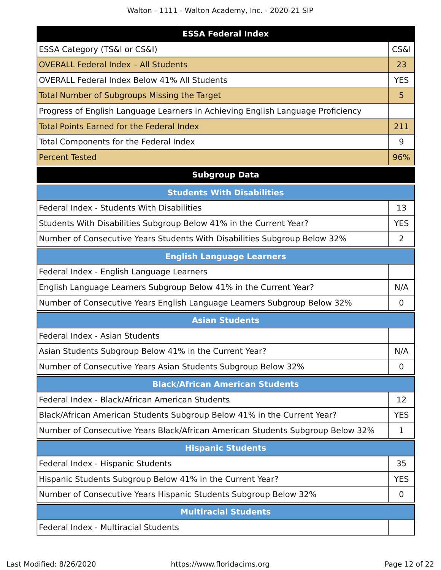Walton - 1111 - Walton Academy, Inc. - 2020-21 SIP

| <b>ESSA Federal Index</b>                                                       |                 |
|---------------------------------------------------------------------------------|-----------------|
| ESSA Category (TS&I or CS&I)                                                    | <b>CS&amp;I</b> |
| <b>OVERALL Federal Index - All Students</b>                                     | 23              |
| <b>OVERALL Federal Index Below 41% All Students</b>                             | <b>YES</b>      |
| Total Number of Subgroups Missing the Target                                    | 5               |
| Progress of English Language Learners in Achieving English Language Proficiency |                 |
| <b>Total Points Earned for the Federal Index</b>                                | 211             |
| Total Components for the Federal Index                                          | 9               |
| <b>Percent Tested</b>                                                           | 96%             |
| <b>Subgroup Data</b>                                                            |                 |
| <b>Students With Disabilities</b>                                               |                 |
| Federal Index - Students With Disabilities                                      | 13              |
| Students With Disabilities Subgroup Below 41% in the Current Year?              | <b>YES</b>      |
| Number of Consecutive Years Students With Disabilities Subgroup Below 32%       | 2               |
| <b>English Language Learners</b>                                                |                 |
| Federal Index - English Language Learners                                       |                 |
| English Language Learners Subgroup Below 41% in the Current Year?               | N/A             |
| Number of Consecutive Years English Language Learners Subgroup Below 32%        | $\mathbf 0$     |
| <b>Asian Students</b>                                                           |                 |
| Federal Index - Asian Students                                                  |                 |
| Asian Students Subgroup Below 41% in the Current Year?                          | N/A             |
| Number of Consecutive Years Asian Students Subgroup Below 32%                   | 0               |
| <b>Black/African American Students</b>                                          |                 |
| Federal Index - Black/African American Students                                 | 12              |
| Black/African American Students Subgroup Below 41% in the Current Year?         | <b>YES</b>      |
| Number of Consecutive Years Black/African American Students Subgroup Below 32%  | 1               |
| <b>Hispanic Students</b>                                                        |                 |
| Federal Index - Hispanic Students                                               | 35              |
| Hispanic Students Subgroup Below 41% in the Current Year?                       | <b>YES</b>      |
| Number of Consecutive Years Hispanic Students Subgroup Below 32%                | $\mathbf 0$     |
| <b>Multiracial Students</b>                                                     |                 |

Federal Index - Multiracial Students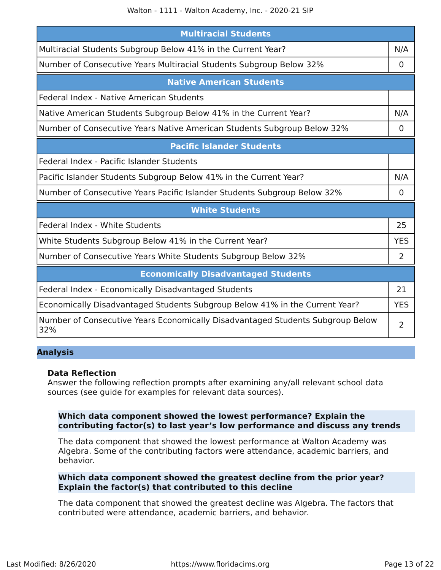Walton - 1111 - Walton Academy, Inc. - 2020-21 SIP

| <b>Multiracial Students</b>                                                           |                |  |  |
|---------------------------------------------------------------------------------------|----------------|--|--|
| Multiracial Students Subgroup Below 41% in the Current Year?                          | N/A            |  |  |
| Number of Consecutive Years Multiracial Students Subgroup Below 32%                   | $\overline{0}$ |  |  |
| <b>Native American Students</b>                                                       |                |  |  |
| Federal Index - Native American Students                                              |                |  |  |
| Native American Students Subgroup Below 41% in the Current Year?                      | N/A            |  |  |
| Number of Consecutive Years Native American Students Subgroup Below 32%               | 0              |  |  |
| <b>Pacific Islander Students</b>                                                      |                |  |  |
| Federal Index - Pacific Islander Students                                             |                |  |  |
| Pacific Islander Students Subgroup Below 41% in the Current Year?                     | N/A            |  |  |
| Number of Consecutive Years Pacific Islander Students Subgroup Below 32%              |                |  |  |
| <b>White Students</b>                                                                 |                |  |  |
| Federal Index - White Students                                                        | 25             |  |  |
| White Students Subgroup Below 41% in the Current Year?                                | <b>YES</b>     |  |  |
| Number of Consecutive Years White Students Subgroup Below 32%                         | 2              |  |  |
| <b>Economically Disadvantaged Students</b>                                            |                |  |  |
| Federal Index - Economically Disadvantaged Students                                   | 21             |  |  |
| Economically Disadvantaged Students Subgroup Below 41% in the Current Year?           | <b>YES</b>     |  |  |
| Number of Consecutive Years Economically Disadvantaged Students Subgroup Below<br>32% |                |  |  |

### **Analysis**

### **Data Reflection**

Answer the following reflection prompts after examining any/all relevant school data sources (see guide for examples for relevant data sources).

### **Which data component showed the lowest performance? Explain the contributing factor(s) to last year's low performance and discuss any trends**

The data component that showed the lowest performance at Walton Academy was Algebra. Some of the contributing factors were attendance, academic barriers, and behavior.

### **Which data component showed the greatest decline from the prior year? Explain the factor(s) that contributed to this decline**

The data component that showed the greatest decline was Algebra. The factors that contributed were attendance, academic barriers, and behavior.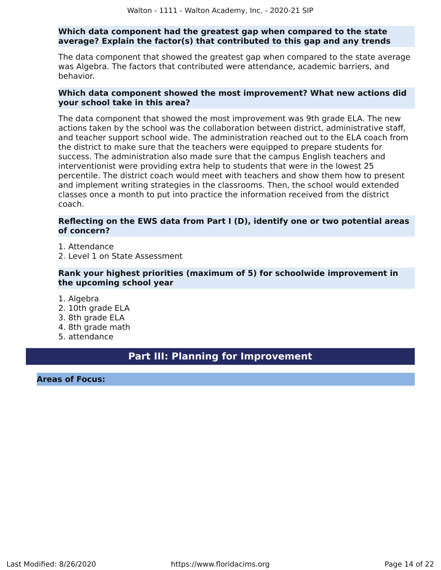### **Which data component had the greatest gap when compared to the state average? Explain the factor(s) that contributed to this gap and any trends**

The data component that showed the greatest gap when compared to the state average was Algebra. The factors that contributed were attendance, academic barriers, and behavior.

### **Which data component showed the most improvement? What new actions did your school take in this area?**

The data component that showed the most improvement was 9th grade ELA. The new actions taken by the school was the collaboration between district, administrative staff, and teacher support school wide. The administration reached out to the ELA coach from the district to make sure that the teachers were equipped to prepare students for success. The administration also made sure that the campus English teachers and interventionist were providing extra help to students that were in the lowest 25 percentile. The district coach would meet with teachers and show them how to present and implement writing strategies in the classrooms. Then, the school would extended classes once a month to put into practice the information received from the district coach.

### **Reflecting on the EWS data from Part I (D), identify one or two potential areas of concern?**

- 1. Attendance
- 2. Level 1 on State Assessment

### **Rank your highest priorities (maximum of 5) for schoolwide improvement in the upcoming school year**

- 1. Algebra
- 2. 10th grade ELA
- 3. 8th grade ELA
- 4. 8th grade math
- 5. attendance

### **Part III: Planning for Improvement**

<span id="page-13-0"></span>**Areas of Focus:**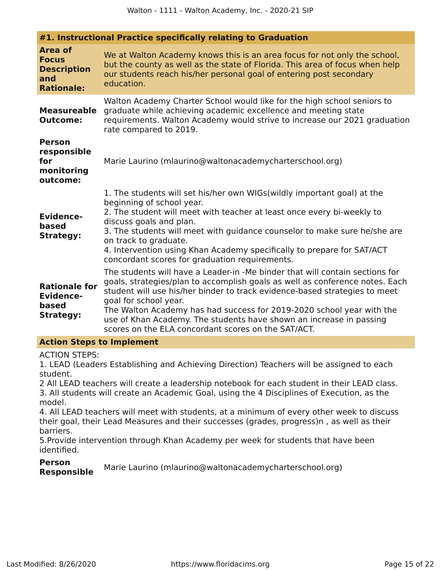| #1. Instructional Practice specifically relating to Graduation                   |                                                                                                                                                                                                                                                                                                                                                                                                                                                                            |  |
|----------------------------------------------------------------------------------|----------------------------------------------------------------------------------------------------------------------------------------------------------------------------------------------------------------------------------------------------------------------------------------------------------------------------------------------------------------------------------------------------------------------------------------------------------------------------|--|
| <b>Area of</b><br><b>Focus</b><br><b>Description</b><br>and<br><b>Rationale:</b> | We at Walton Academy knows this is an area focus for not only the school,<br>but the county as well as the state of Florida. This area of focus when help<br>our students reach his/her personal goal of entering post secondary<br>education.                                                                                                                                                                                                                             |  |
| <b>Measureable</b><br><b>Outcome:</b>                                            | Walton Academy Charter School would like for the high school seniors to<br>graduate while achieving academic excellence and meeting state<br>requirements. Walton Academy would strive to increase our 2021 graduation<br>rate compared to 2019.                                                                                                                                                                                                                           |  |
| <b>Person</b><br>responsible<br>for<br>monitoring<br>outcome:                    | Marie Laurino (mlaurino@waltonacademycharterschool.org)                                                                                                                                                                                                                                                                                                                                                                                                                    |  |
| <b>Evidence-</b><br>based<br><b>Strategy:</b>                                    | 1. The students will set his/her own WIGs(wildly important goal) at the<br>beginning of school year.<br>2. The student will meet with teacher at least once every bi-weekly to<br>discuss goals and plan.<br>3. The students will meet with guidance counselor to make sure he/she are<br>on track to graduate.<br>4. Intervention using Khan Academy specifically to prepare for SAT/ACT<br>concordant scores for graduation requirements.                                |  |
| <b>Rationale for</b><br><b>Evidence-</b><br>based<br><b>Strategy:</b>            | The students will have a Leader-in -Me binder that will contain sections for<br>goals, strategies/plan to accomplish goals as well as conference notes. Each<br>student will use his/her binder to track evidence-based strategies to meet<br>goal for school year.<br>The Walton Academy has had success for 2019-2020 school year with the<br>use of Khan Academy. The students have shown an increase in passing<br>scores on the ELA concordant scores on the SAT/ACT. |  |
|                                                                                  |                                                                                                                                                                                                                                                                                                                                                                                                                                                                            |  |

#### **Action Steps to Implement**

ACTION STEPS:

1. LEAD (Leaders Establishing and Achieving Direction) Teachers will be assigned to each student.

2 All LEAD teachers will create a leadership notebook for each student in their LEAD class. 3. All students will create an Academic Goal, using the 4 Disciplines of Execution, as the model.

4. All LEAD teachers will meet with students, at a minimum of every other week to discuss their goal, their Lead Measures and their successes (grades, progress)n , as well as their barriers.

5.Provide intervention through Khan Academy per week for students that have been identified.

**Person Responsible** Marie Laurino (mlaurino@waltonacademycharterschool.org)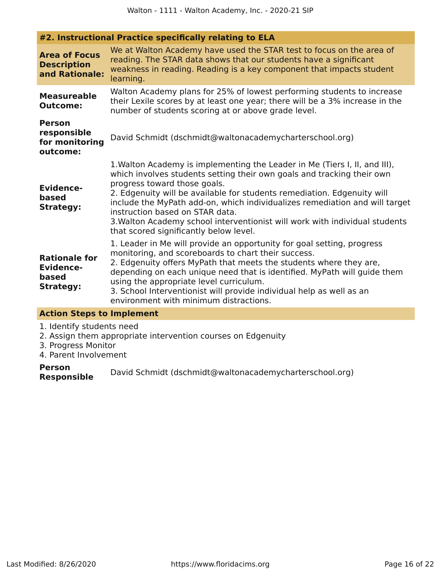| <b>Area of Focus</b><br><b>Description</b><br>and Rationale:          | We at Walton Academy have used the STAR test to focus on the area of<br>reading. The STAR data shows that our students have a significant<br>weakness in reading. Reading is a key component that impacts student<br>learning.                                                                                                                                                                                                                                                                             |
|-----------------------------------------------------------------------|------------------------------------------------------------------------------------------------------------------------------------------------------------------------------------------------------------------------------------------------------------------------------------------------------------------------------------------------------------------------------------------------------------------------------------------------------------------------------------------------------------|
| <b>Measureable</b><br><b>Outcome:</b>                                 | Walton Academy plans for 25% of lowest performing students to increase<br>their Lexile scores by at least one year; there will be a 3% increase in the<br>number of students scoring at or above grade level.                                                                                                                                                                                                                                                                                              |
| <b>Person</b><br>responsible<br>for monitoring<br>outcome:            | David Schmidt (dschmidt@waltonacademycharterschool.org)                                                                                                                                                                                                                                                                                                                                                                                                                                                    |
| <b>Evidence-</b><br>based<br><b>Strategy:</b>                         | 1. Walton Academy is implementing the Leader in Me (Tiers I, II, and III),<br>which involves students setting their own goals and tracking their own<br>progress toward those goals.<br>2. Edgenuity will be available for students remediation. Edgenuity will<br>include the MyPath add-on, which individualizes remediation and will target<br>instruction based on STAR data.<br>3. Walton Academy school interventionist will work with individual students<br>that scored significantly below level. |
| <b>Rationale for</b><br><b>Evidence-</b><br>based<br><b>Strategy:</b> | 1. Leader in Me will provide an opportunity for goal setting, progress<br>monitoring, and scoreboards to chart their success.<br>2. Edgenuity offers MyPath that meets the students where they are,<br>depending on each unique need that is identified. MyPath will guide them<br>using the appropriate level curriculum.<br>3. School Interventionist will provide individual help as well as an<br>environment with minimum distractions.                                                               |

### **Action Steps to Implement**

1. Identify students need

2. Assign them appropriate intervention courses on Edgenuity

**#2. Instructional Practice specifically relating to ELA**

- 3. Progress Monitor
- 4. Parent Involvement

**Person Responsible** David Schmidt (dschmidt@waltonacademycharterschool.org)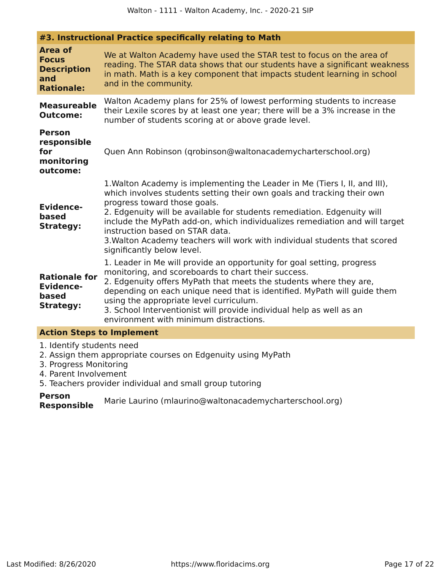|                                                                                  | #3. Instructional Practice specifically relating to Math                                                                                                                                                                                                                                                                                                                                                                                                                                     |
|----------------------------------------------------------------------------------|----------------------------------------------------------------------------------------------------------------------------------------------------------------------------------------------------------------------------------------------------------------------------------------------------------------------------------------------------------------------------------------------------------------------------------------------------------------------------------------------|
| <b>Area of</b><br><b>Focus</b><br><b>Description</b><br>and<br><b>Rationale:</b> | We at Walton Academy have used the STAR test to focus on the area of<br>reading. The STAR data shows that our students have a significant weakness<br>in math. Math is a key component that impacts student learning in school<br>and in the community.                                                                                                                                                                                                                                      |
| <b>Measureable</b><br><b>Outcome:</b>                                            | Walton Academy plans for 25% of lowest performing students to increase<br>their Lexile scores by at least one year; there will be a 3% increase in the<br>number of students scoring at or above grade level.                                                                                                                                                                                                                                                                                |
| <b>Person</b><br>responsible<br>for<br>monitoring<br>outcome:                    | Quen Ann Robinson (grobinson@waltonacademycharterschool.org)                                                                                                                                                                                                                                                                                                                                                                                                                                 |
| <b>Evidence-</b><br>based<br><b>Strategy:</b>                                    | 1. Walton Academy is implementing the Leader in Me (Tiers I, II, and III),<br>which involves students setting their own goals and tracking their own<br>progress toward those goals.<br>2. Edgenuity will be available for students remediation. Edgenuity will<br>include the MyPath add-on, which individualizes remediation and will target<br>instruction based on STAR data.<br>3. Walton Academy teachers will work with individual students that scored<br>significantly below level. |
| <b>Rationale for</b><br><b>Evidence-</b><br>based<br><b>Strategy:</b>            | 1. Leader in Me will provide an opportunity for goal setting, progress<br>monitoring, and scoreboards to chart their success.<br>2. Edgenuity offers MyPath that meets the students where they are,<br>depending on each unique need that is identified. MyPath will guide them<br>using the appropriate level curriculum.<br>3. School Interventionist will provide individual help as well as an<br>environment with minimum distractions.                                                 |
| <b>Action Steps to Implement</b>                                                 |                                                                                                                                                                                                                                                                                                                                                                                                                                                                                              |
| 1. Identify students need                                                        |                                                                                                                                                                                                                                                                                                                                                                                                                                                                                              |

- 2. Assign them appropriate courses on Edgenuity using MyPath
- 3. Progress Monitoring
- 4. Parent Involvement
- 5. Teachers provider individual and small group tutoring

**Person** Marie Laurino (mlaurino@waltonacademycharterschool.org)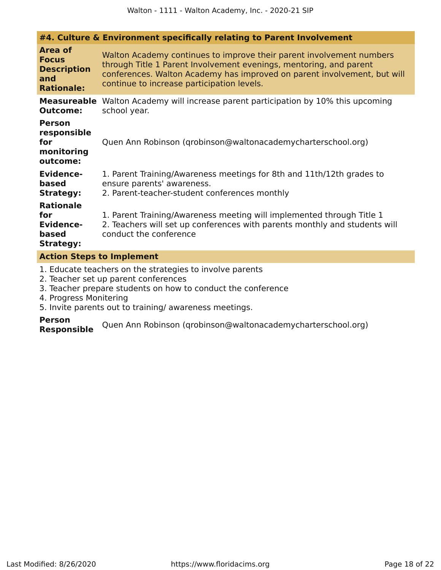|                                                                                  | #4. Culture & Environment specifically relating to Parent Involvement                                                                                                                                                                                                |  |
|----------------------------------------------------------------------------------|----------------------------------------------------------------------------------------------------------------------------------------------------------------------------------------------------------------------------------------------------------------------|--|
| <b>Area of</b><br><b>Focus</b><br><b>Description</b><br>and<br><b>Rationale:</b> | Walton Academy continues to improve their parent involvement numbers<br>through Title 1 Parent Involvement evenings, mentoring, and parent<br>conferences. Walton Academy has improved on parent involvement, but will<br>continue to increase participation levels. |  |
| <b>Measureable</b><br><b>Outcome:</b>                                            | Walton Academy will increase parent participation by 10% this upcoming<br>school year.                                                                                                                                                                               |  |
| <b>Person</b><br>responsible<br>for<br>monitoring<br>outcome:                    | Quen Ann Robinson (grobinson@waltonacademycharterschool.org)                                                                                                                                                                                                         |  |
| <b>Evidence-</b><br>based<br><b>Strategy:</b>                                    | 1. Parent Training/Awareness meetings for 8th and 11th/12th grades to<br>ensure parents' awareness.<br>2. Parent-teacher-student conferences monthly                                                                                                                 |  |
| <b>Rationale</b><br>for<br><b>Evidence-</b><br>based<br><b>Strategy:</b>         | 1. Parent Training/Awareness meeting will implemented through Title 1<br>2. Teachers will set up conferences with parents monthly and students will<br>conduct the conference                                                                                        |  |
| <b>Action Steps to Implement</b>                                                 |                                                                                                                                                                                                                                                                      |  |

- 1. Educate teachers on the strategies to involve parents
- 2. Teacher set up parent conferences
- 3. Teacher prepare students on how to conduct the conference
- 4. Progress Monitering
- 5. Invite parents out to training/ awareness meetings.

## **Person**

**Responsible** Quen Ann Robinson (qrobinson@waltonacademycharterschool.org)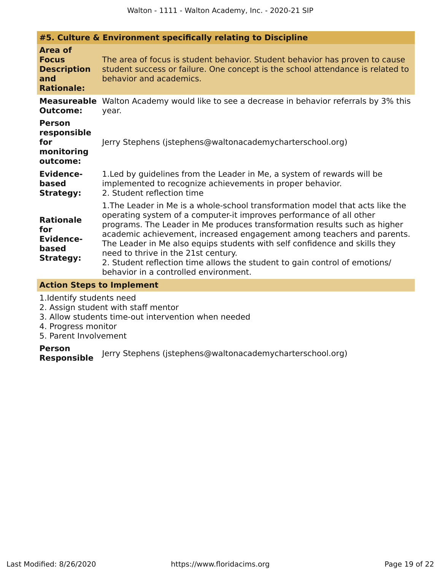|                                                                                  | #5. Culture & Environment specifically relating to Discipline                                                                                                                                                                                                                                                                                                                                                                                                                                                                                           |
|----------------------------------------------------------------------------------|---------------------------------------------------------------------------------------------------------------------------------------------------------------------------------------------------------------------------------------------------------------------------------------------------------------------------------------------------------------------------------------------------------------------------------------------------------------------------------------------------------------------------------------------------------|
| <b>Area of</b><br><b>Focus</b><br><b>Description</b><br>and<br><b>Rationale:</b> | The area of focus is student behavior. Student behavior has proven to cause<br>student success or failure. One concept is the school attendance is related to<br>behavior and academics.                                                                                                                                                                                                                                                                                                                                                                |
| <b>Measureable</b><br><b>Outcome:</b>                                            | Walton Academy would like to see a decrease in behavior referrals by 3% this<br>year.                                                                                                                                                                                                                                                                                                                                                                                                                                                                   |
| <b>Person</b><br>responsible<br>for<br>monitoring<br>outcome:                    | Jerry Stephens (jstephens@waltonacademycharterschool.org)                                                                                                                                                                                                                                                                                                                                                                                                                                                                                               |
| <b>Evidence-</b><br>based<br><b>Strategy:</b>                                    | 1. Led by guidelines from the Leader in Me, a system of rewards will be<br>implemented to recognize achievements in proper behavior.<br>2. Student reflection time                                                                                                                                                                                                                                                                                                                                                                                      |
| <b>Rationale</b><br>for<br><b>Evidence-</b><br>based<br><b>Strategy:</b>         | 1. The Leader in Me is a whole-school transformation model that acts like the<br>operating system of a computer-it improves performance of all other<br>programs. The Leader in Me produces transformation results such as higher<br>academic achievement, increased engagement among teachers and parents.<br>The Leader in Me also equips students with self confidence and skills they<br>need to thrive in the 21st century.<br>2. Student reflection time allows the student to gain control of emotions/<br>behavior in a controlled environment. |
|                                                                                  |                                                                                                                                                                                                                                                                                                                                                                                                                                                                                                                                                         |

### **Action Steps to Implement**

1.Identify students need

- 2. Assign student with staff mentor
- 3. Allow students time-out intervention when needed
- 4. Progress monitor
- 5. Parent Involvement

**Person Responsible** Jerry Stephens (jstephens@waltonacademycharterschool.org)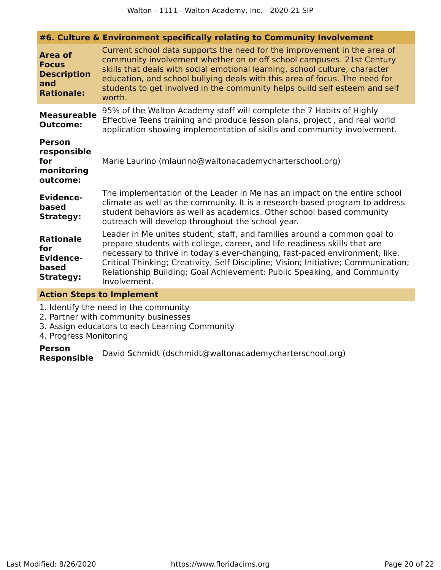|                                                                                  | #6. Culture & Environment specifically relating to Community Involvement                                                                                                                                                                                                                                                                                                                                              |
|----------------------------------------------------------------------------------|-----------------------------------------------------------------------------------------------------------------------------------------------------------------------------------------------------------------------------------------------------------------------------------------------------------------------------------------------------------------------------------------------------------------------|
| <b>Area of</b><br><b>Focus</b><br><b>Description</b><br>and<br><b>Rationale:</b> | Current school data supports the need for the improvement in the area of<br>community involvement whether on or off school campuses. 21st Century<br>skills that deals with social emotional learning, school culture, character<br>education, and school bullying deals with this area of focus. The need for<br>students to get involved in the community helps build self esteem and self<br>worth.                |
| <b>Measureable</b><br><b>Outcome:</b>                                            | 95% of the Walton Academy staff will complete the 7 Habits of Highly<br>Effective Teens training and produce lesson plans, project, and real world<br>application showing implementation of skills and community involvement.                                                                                                                                                                                         |
| <b>Person</b><br>responsible<br>for<br>monitoring<br>outcome:                    | Marie Laurino (mlaurino@waltonacademycharterschool.org)                                                                                                                                                                                                                                                                                                                                                               |
| <b>Evidence-</b><br>based<br><b>Strategy:</b>                                    | The implementation of the Leader in Me has an impact on the entire school<br>climate as well as the community. It is a research-based program to address<br>student behaviors as well as academics. Other school based community<br>outreach will develop throughout the school year.                                                                                                                                 |
| <b>Rationale</b><br>for<br><b>Evidence-</b><br>based<br><b>Strategy:</b>         | Leader in Me unites student, staff, and families around a common goal to<br>prepare students with college, career, and life readiness skills that are<br>necessary to thrive in today's ever-changing, fast-paced environment, like.<br>Critical Thinking; Creativity; Self Discipline; Vision; Initiative; Communication;<br>Relationship Building; Goal Achievement; Public Speaking, and Community<br>Involvement. |
|                                                                                  |                                                                                                                                                                                                                                                                                                                                                                                                                       |

#### **Action Steps to Implement**

1. Identify the need in the community

- 2. Partner with community businesses
- 3. Assign educators to each Learning Community
- 4. Progress Monitoring

**Person Responsible** David Schmidt (dschmidt@waltonacademycharterschool.org)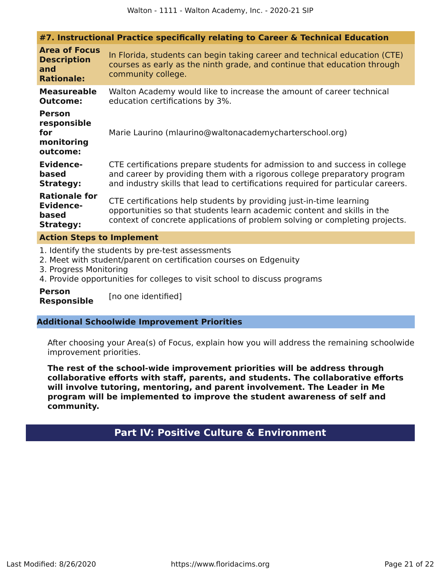| #7. Instructional Practice specifically relating to Career & Technical Education                                                                |                                                                                                                                                                                                                                             |  |
|-------------------------------------------------------------------------------------------------------------------------------------------------|---------------------------------------------------------------------------------------------------------------------------------------------------------------------------------------------------------------------------------------------|--|
| <b>Area of Focus</b><br><b>Description</b><br>and<br><b>Rationale:</b>                                                                          | In Florida, students can begin taking career and technical education (CTE)<br>courses as early as the ninth grade, and continue that education through<br>community college.                                                                |  |
| <b>Measureable</b><br><b>Outcome:</b>                                                                                                           | Walton Academy would like to increase the amount of career technical<br>education certifications by 3%.                                                                                                                                     |  |
| <b>Person</b><br>responsible<br>for<br>monitoring<br>outcome:                                                                                   | Marie Laurino (mlaurino@waltonacademycharterschool.org)                                                                                                                                                                                     |  |
| <b>Evidence-</b><br>based<br><b>Strategy:</b>                                                                                                   | CTE certifications prepare students for admission to and success in college<br>and career by providing them with a rigorous college preparatory program<br>and industry skills that lead to certifications required for particular careers. |  |
| <b>Rationale for</b><br><b>Evidence-</b><br>based<br><b>Strategy:</b>                                                                           | CTE certifications help students by providing just-in-time learning<br>opportunities so that students learn academic content and skills in the<br>context of concrete applications of problem solving or completing projects.               |  |
| <b>Action Steps to Implement</b>                                                                                                                |                                                                                                                                                                                                                                             |  |
| 1. Identify the students by pre-test assessments<br>2. Meet with student/parent on certification courses on Edgenuity<br>3. Progress Monitoring |                                                                                                                                                                                                                                             |  |

- 4. Provide opportunities for colleges to visit school to discuss programs
- **Person**

**Responsible** [no one identified]

### **Additional Schoolwide Improvement Priorities**

After choosing your Area(s) of Focus, explain how you will address the remaining schoolwide improvement priorities.

<span id="page-20-0"></span>**The rest of the school-wide improvement priorities will be address through collaborative efforts with staff, parents, and students. The collaborative efforts will involve tutoring, mentoring, and parent involvement. The Leader in Me program will be implemented to improve the student awareness of self and community.**

### **Part IV: Positive Culture & Environment**